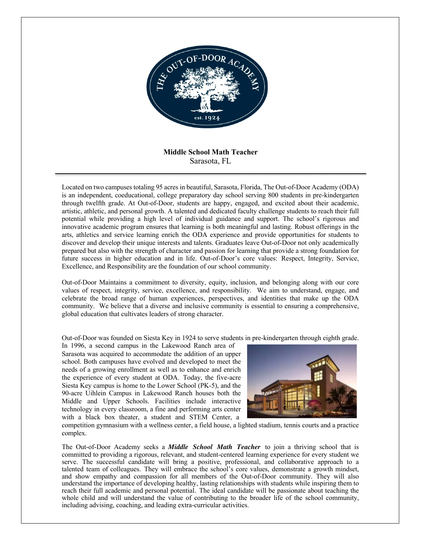

# **Middle School Math Teacher** Sarasota, FL

Located on two campuses totaling 95 acres in beautiful, Sarasota, Florida, The Out-of-Door Academy (ODA) is an independent, coeducational, college preparatory day school serving 800 students in pre-kindergarten through twelfth grade. At Out-of-Door, students are happy, engaged, and excited about their academic, artistic, athletic, and personal growth. A talented and dedicated faculty challenge students to reach their full potential while providing a high level of individual guidance and support. The school's rigorous and innovative academic program ensures that learning is both meaningful and lasting. Robust offerings in the arts, athletics and service learning enrich the ODA experience and provide opportunities for students to discover and develop their unique interests and talents. Graduates leave Out-of-Door not only academically prepared but also with the strength of character and passion for learning that provide a strong foundation for future success in higher education and in life. Out-of-Door's core values: Respect, Integrity, Service, Excellence, and Responsibility are the foundation of our school community.

Out-of-Door Maintains a commitment to diversity, equity, inclusion, and belonging along with our core values of respect, integrity, service, excellence, and responsibility. We aim to understand, engage, and celebrate the broad range of human experiences, perspectives, and identities that make up the ODA community. We believe that a diverse and inclusive community is essential to ensuring a comprehensive, global education that cultivates leaders of strong character.

Out-of-Door was founded on Siesta Key in 1924 to serve students in pre-kindergarten through eighth grade.

In 1996, a second campus in the Lakewood Ranch area of Sarasota was acquired to accommodate the addition of an upper school. Both campuses have evolved and developed to meet the needs of a growing enrollment as well as to enhance and enrich the experience of every student at ODA. Today, the five-acre Siesta Key campus is home to the Lower School (PK-5), and the 90-acre Uihlein Campus in Lakewood Ranch houses both the Middle and Upper Schools. Facilities include interactive technology in every classroom, a fine and performing arts center with a black box theater, a student and STEM Center, a



competition gymnasium with a wellness center, a field house, a lighted stadium, tennis courts and a practice complex.

The Out-of-Door Academy seeks a *Middle School Math Teacher* to join a thriving school that is committed to providing a rigorous, relevant, and student-centered learning experience for every student we serve. The successful candidate will bring a positive, professional, and collaborative approach to a talented team of colleagues. They will embrace the school's core values, demonstrate a growth mindset, and show empathy and compassion for all members of the Out-of-Door community. They will also understand the importance of developing healthy, lasting relationships with students while inspiring them to reach their full academic and personal potential. The ideal candidate will be passionate about teaching the whole child and will understand the value of contributing to the broader life of the school community, including advising, coaching, and leading extra-curricular activities.